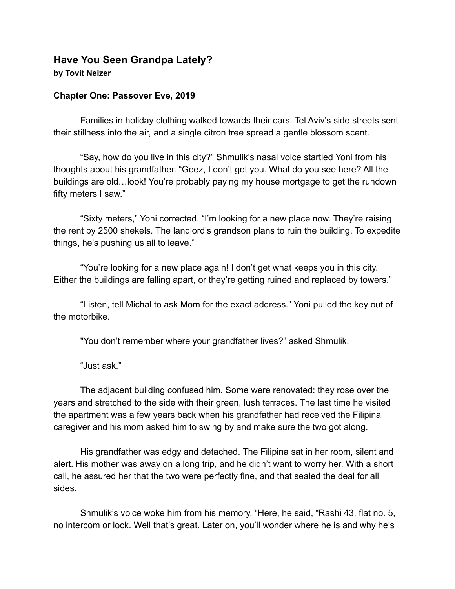## **Have You Seen Grandpa Lately? by Tovit Neizer**

## **Chapter One: Passover Eve, 2019**

Families in holiday clothing walked towards their cars. Tel Aviv's side streets sent their stillness into the air, and a single citron tree spread a gentle blossom scent.

"Say, how do you live in this city?" Shmulik's nasal voice startled Yoni from his thoughts about his grandfather. "Geez, I don't get you. What do you see here? All the buildings are old…look! You're probably paying my house mortgage to get the rundown fifty meters I saw."

"Sixty meters," Yoni corrected. "I'm looking for a new place now. They're raising the rent by 2500 shekels. The landlord's grandson plans to ruin the building. To expedite things, he's pushing us all to leave."

"You're looking for a new place again! I don't get what keeps you in this city. Either the buildings are falling apart, or they're getting ruined and replaced by towers."

"Listen, tell Michal to ask Mom for the exact address." Yoni pulled the key out of the motorbike.

"You don't remember where your grandfather lives?" asked Shmulik.

"Just ask."

The adjacent building confused him. Some were renovated: they rose over the years and stretched to the side with their green, lush terraces. The last time he visited the apartment was a few years back when his grandfather had received the Filipina caregiver and his mom asked him to swing by and make sure the two got along.

His grandfather was edgy and detached. The Filipina sat in her room, silent and alert. His mother was away on a long trip, and he didn't want to worry her. With a short call, he assured her that the two were perfectly fine, and that sealed the deal for all sides.

Shmulik's voice woke him from his memory. "Here, he said, "Rashi 43, flat no. 5, no intercom or lock. Well that's great. Later on, you'll wonder where he is and why he's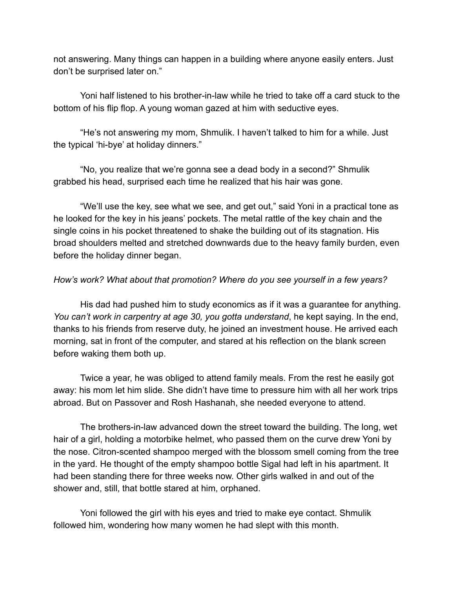not answering. Many things can happen in a building where anyone easily enters. Just don't be surprised later on."

Yoni half listened to his brother-in-law while he tried to take off a card stuck to the bottom of his flip flop. A young woman gazed at him with seductive eyes.

"He's not answering my mom, Shmulik. I haven't talked to him for a while. Just the typical 'hi-bye' at holiday dinners."

"No, you realize that we're gonna see a dead body in a second?" Shmulik grabbed his head, surprised each time he realized that his hair was gone.

"We'll use the key, see what we see, and get out," said Yoni in a practical tone as he looked for the key in his jeans' pockets. The metal rattle of the key chain and the single coins in his pocket threatened to shake the building out of its stagnation. His broad shoulders melted and stretched downwards due to the heavy family burden, even before the holiday dinner began.

## *How's work? What about that promotion? Where do you see yourself in a few years?*

His dad had pushed him to study economics as if it was a guarantee for anything. *You can't work in carpentry at age 30, you gotta understand*, he kept saying. In the end, thanks to his friends from reserve duty, he joined an investment house. He arrived each morning, sat in front of the computer, and stared at his reflection on the blank screen before waking them both up.

Twice a year, he was obliged to attend family meals. From the rest he easily got away: his mom let him slide. She didn't have time to pressure him with all her work trips abroad. But on Passover and Rosh Hashanah, she needed everyone to attend.

The brothers-in-law advanced down the street toward the building. The long, wet hair of a girl, holding a motorbike helmet, who passed them on the curve drew Yoni by the nose. Citron-scented shampoo merged with the blossom smell coming from the tree in the yard. He thought of the empty shampoo bottle Sigal had left in his apartment. It had been standing there for three weeks now. Other girls walked in and out of the shower and, still, that bottle stared at him, orphaned.

Yoni followed the girl with his eyes and tried to make eye contact. Shmulik followed him, wondering how many women he had slept with this month.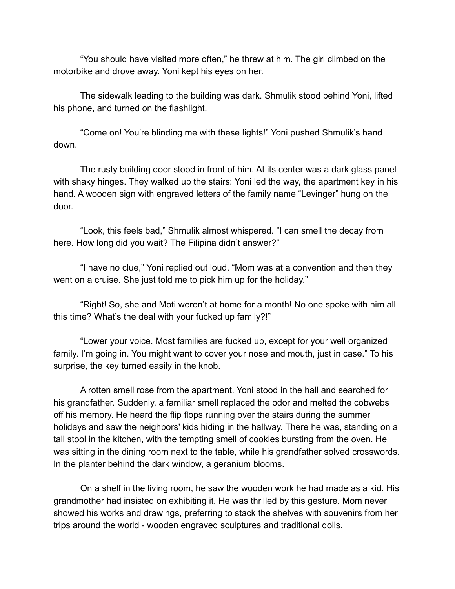"You should have visited more often," he threw at him. The girl climbed on the motorbike and drove away. Yoni kept his eyes on her.

The sidewalk leading to the building was dark. Shmulik stood behind Yoni, lifted his phone, and turned on the flashlight.

"Come on! You're blinding me with these lights!" Yoni pushed Shmulik's hand down.

The rusty building door stood in front of him. At its center was a dark glass panel with shaky hinges. They walked up the stairs: Yoni led the way, the apartment key in his hand. A wooden sign with engraved letters of the family name "Levinger" hung on the door.

"Look, this feels bad," Shmulik almost whispered. "I can smell the decay from here. How long did you wait? The Filipina didn't answer?"

"I have no clue," Yoni replied out loud. "Mom was at a convention and then they went on a cruise. She just told me to pick him up for the holiday."

"Right! So, she and Moti weren't at home for a month! No one spoke with him all this time? What's the deal with your fucked up family?!"

"Lower your voice. Most families are fucked up, except for your well organized family. I'm going in. You might want to cover your nose and mouth, just in case." To his surprise, the key turned easily in the knob.

A rotten smell rose from the apartment. Yoni stood in the hall and searched for his grandfather. Suddenly, a familiar smell replaced the odor and melted the cobwebs off his memory. He heard the flip flops running over the stairs during the summer holidays and saw the neighbors' kids hiding in the hallway. There he was, standing on a tall stool in the kitchen, with the tempting smell of cookies bursting from the oven. He was sitting in the dining room next to the table, while his grandfather solved crosswords. In the planter behind the dark window, a geranium blooms.

On a shelf in the living room, he saw the wooden work he had made as a kid. His grandmother had insisted on exhibiting it. He was thrilled by this gesture. Mom never showed his works and drawings, preferring to stack the shelves with souvenirs from her trips around the world - wooden engraved sculptures and traditional dolls.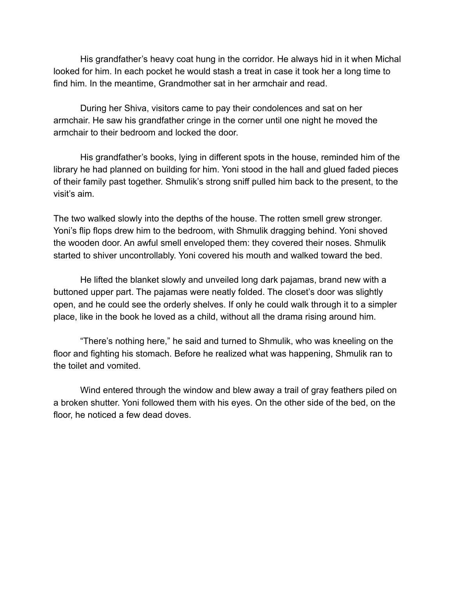His grandfather's heavy coat hung in the corridor. He always hid in it when Michal looked for him. In each pocket he would stash a treat in case it took her a long time to find him. In the meantime, Grandmother sat in her armchair and read.

During her Shiva, visitors came to pay their condolences and sat on her armchair. He saw his grandfather cringe in the corner until one night he moved the armchair to their bedroom and locked the door.

His grandfather's books, lying in different spots in the house, reminded him of the library he had planned on building for him. Yoni stood in the hall and glued faded pieces of their family past together. Shmulik's strong sniff pulled him back to the present, to the visit's aim.

The two walked slowly into the depths of the house. The rotten smell grew stronger. Yoni's flip flops drew him to the bedroom, with Shmulik dragging behind. Yoni shoved the wooden door. An awful smell enveloped them: they covered their noses. Shmulik started to shiver uncontrollably. Yoni covered his mouth and walked toward the bed.

He lifted the blanket slowly and unveiled long dark pajamas, brand new with a buttoned upper part. The pajamas were neatly folded. The closet's door was slightly open, and he could see the orderly shelves. If only he could walk through it to a simpler place, like in the book he loved as a child, without all the drama rising around him.

"There's nothing here," he said and turned to Shmulik, who was kneeling on the floor and fighting his stomach. Before he realized what was happening, Shmulik ran to the toilet and vomited.

Wind entered through the window and blew away a trail of gray feathers piled on a broken shutter. Yoni followed them with his eyes. On the other side of the bed, on the floor, he noticed a few dead doves.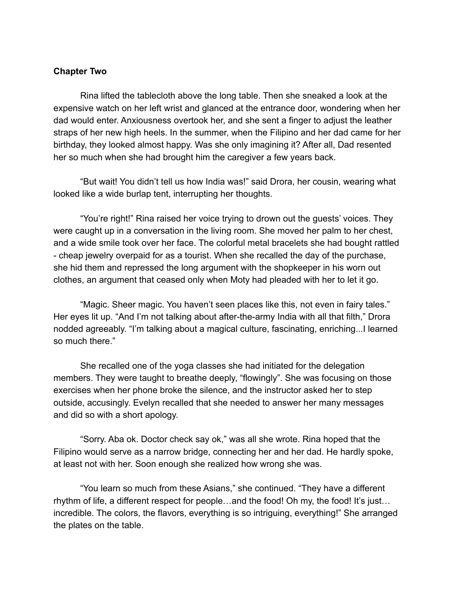## **Chapter Two**

Rina lifted the tablecloth above the long table. Then she sneaked a look at the expensive watch on her left wrist and glanced at the entrance door, wondering when her dad would enter. Anxiousness overtook her, and she sent a finger to adjust the leather straps of her new high heels. In the summer, when the Filipino and her dad came for her birthday, they looked almost happy. Was she only imagining it? After all, Dad resented her so much when she had brought him the caregiver a few years back.

"But wait! You didn't tell us how India was!" said Drora, her cousin, wearing what looked like a wide burlap tent, interrupting her thoughts.

"You're right!" Rina raised her voice trying to drown out the guests' voices. They were caught up in a conversation in the living room. She moved her palm to her chest, and a wide smile took over her face. The colorful metal bracelets she had bought rattled - cheap jewelry overpaid for as a tourist. When she recalled the day of the purchase, she hid them and repressed the long argument with the shopkeeper in his worn out clothes, an argument that ceased only when Moty had pleaded with her to let it go.

"Magic. Sheer magic. You haven't seen places like this, not even in fairy tales." Her eyes lit up. "And I'm not talking about after-the-army India with all that filth," Drora nodded agreeably. "I'm talking about a magical culture, fascinating, enriching...I learned so much there."

She recalled one of the yoga classes she had initiated for the delegation members. They were taught to breathe deeply, "flowingly". She was focusing on those exercises when her phone broke the silence, and the instructor asked her to step outside, accusingly. Evelyn recalled that she needed to answer her many messages and did so with a short apology.

"Sorry. Aba ok. Doctor check say ok," was all she wrote. Rina hoped that the Filipino would serve as a narrow bridge, connecting her and her dad. He hardly spoke, at least not with her. Soon enough she realized how wrong she was.

"You learn so much from these Asians," she continued. "They have a different rhythm of life, a different respect for people…and the food! Oh my, the food! It's just… incredible. The colors, the flavors, everything is so intriguing, everything!" She arranged the plates on the table.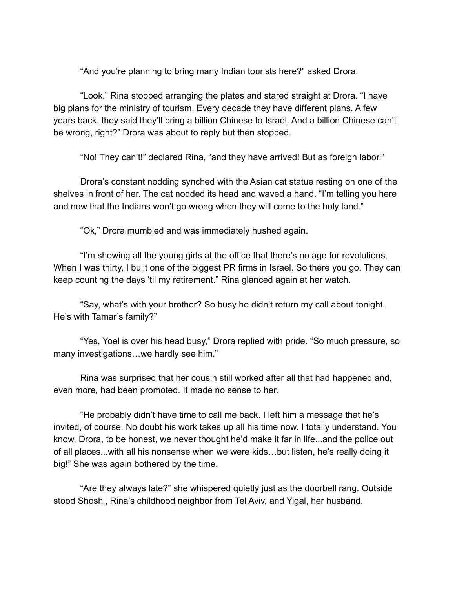"And you're planning to bring many Indian tourists here?" asked Drora.

"Look." Rina stopped arranging the plates and stared straight at Drora. "I have big plans for the ministry of tourism. Every decade they have different plans. A few years back, they said they'll bring a billion Chinese to Israel. And a billion Chinese can't be wrong, right?" Drora was about to reply but then stopped.

"No! They can't!" declared Rina, "and they have arrived! But as foreign labor."

Drora's constant nodding synched with the Asian cat statue resting on one of the shelves in front of her. The cat nodded its head and waved a hand. "I'm telling you here and now that the Indians won't go wrong when they will come to the holy land."

"Ok," Drora mumbled and was immediately hushed again.

"I'm showing all the young girls at the office that there's no age for revolutions. When I was thirty, I built one of the biggest PR firms in Israel. So there you go. They can keep counting the days 'til my retirement." Rina glanced again at her watch.

"Say, what's with your brother? So busy he didn't return my call about tonight. He's with Tamar's family?"

"Yes, Yoel is over his head busy," Drora replied with pride. "So much pressure, so many investigations…we hardly see him."

Rina was surprised that her cousin still worked after all that had happened and, even more, had been promoted. It made no sense to her.

"He probably didn't have time to call me back. I left him a message that he's invited, of course. No doubt his work takes up all his time now. I totally understand. You know, Drora, to be honest, we never thought he'd make it far in life...and the police out of all places...with all his nonsense when we were kids…but listen, he's really doing it big!" She was again bothered by the time.

"Are they always late?" she whispered quietly just as the doorbell rang. Outside stood Shoshi, Rina's childhood neighbor from Tel Aviv, and Yigal, her husband.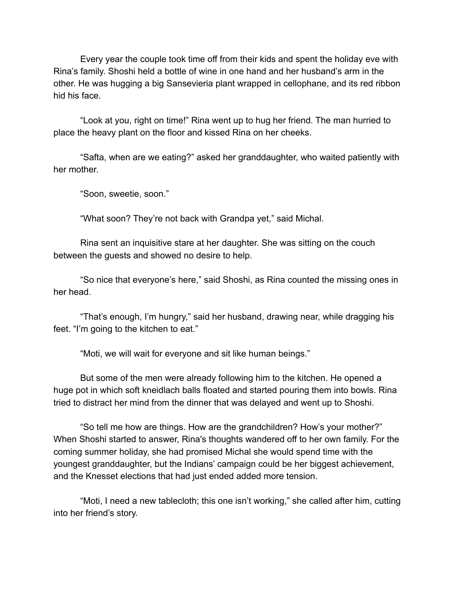Every year the couple took time off from their kids and spent the holiday eve with Rina's family. Shoshi held a bottle of wine in one hand and her husband's arm in the other. He was hugging a big Sansevieria plant wrapped in cellophane, and its red ribbon hid his face.

"Look at you, right on time!" Rina went up to hug her friend. The man hurried to place the heavy plant on the floor and kissed Rina on her cheeks.

"Safta, when are we eating?" asked her granddaughter, who waited patiently with her mother.

"Soon, sweetie, soon."

"What soon? They're not back with Grandpa yet," said Michal.

Rina sent an inquisitive stare at her daughter. She was sitting on the couch between the guests and showed no desire to help.

"So nice that everyone's here," said Shoshi, as Rina counted the missing ones in her head.

"That's enough, I'm hungry," said her husband, drawing near, while dragging his feet. "I'm going to the kitchen to eat."

"Moti, we will wait for everyone and sit like human beings."

But some of the men were already following him to the kitchen. He opened a huge pot in which soft kneidlach balls floated and started pouring them into bowls. Rina tried to distract her mind from the dinner that was delayed and went up to Shoshi.

"So tell me how are things. How are the grandchildren? How's your mother?" When Shoshi started to answer, Rina's thoughts wandered off to her own family. For the coming summer holiday, she had promised Michal she would spend time with the youngest granddaughter, but the Indians' campaign could be her biggest achievement, and the Knesset elections that had just ended added more tension.

"Moti, I need a new tablecloth; this one isn't working," she called after him, cutting into her friend's story.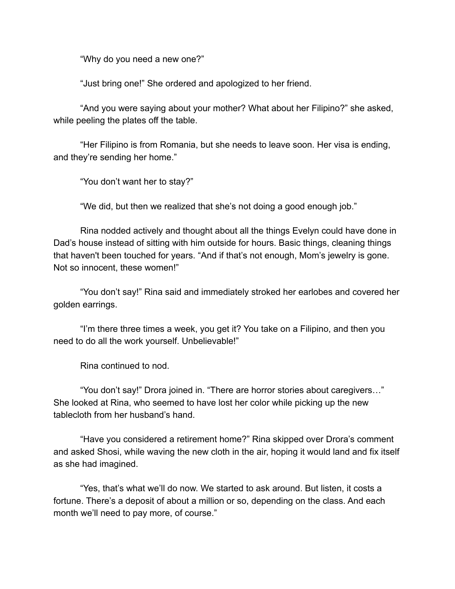"Why do you need a new one?"

"Just bring one!" She ordered and apologized to her friend.

"And you were saying about your mother? What about her Filipino?" she asked, while peeling the plates off the table.

"Her Filipino is from Romania, but she needs to leave soon. Her visa is ending, and they're sending her home."

"You don't want her to stay?"

"We did, but then we realized that she's not doing a good enough job."

Rina nodded actively and thought about all the things Evelyn could have done in Dad's house instead of sitting with him outside for hours. Basic things, cleaning things that haven't been touched for years. "And if that's not enough, Mom's jewelry is gone. Not so innocent, these women!"

"You don't say!" Rina said and immediately stroked her earlobes and covered her golden earrings.

"I'm there three times a week, you get it? You take on a Filipino, and then you need to do all the work yourself. Unbelievable!"

Rina continued to nod.

"You don't say!" Drora joined in. "There are horror stories about caregivers…" She looked at Rina, who seemed to have lost her color while picking up the new tablecloth from her husband's hand.

"Have you considered a retirement home?" Rina skipped over Drora's comment and asked Shosi, while waving the new cloth in the air, hoping it would land and fix itself as she had imagined.

"Yes, that's what we'll do now. We started to ask around. But listen, it costs a fortune. There's a deposit of about a million or so, depending on the class. And each month we'll need to pay more, of course."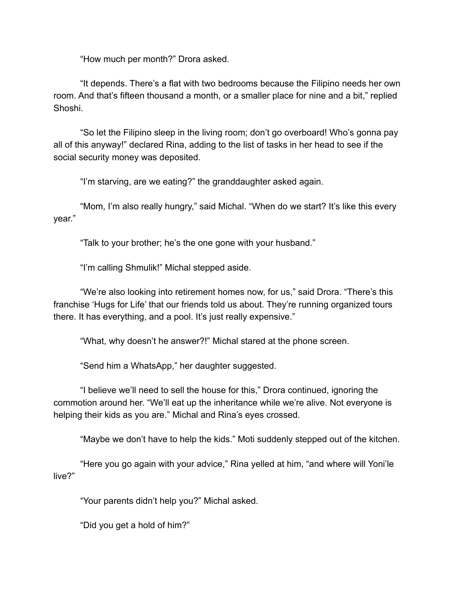"How much per month?" Drora asked.

"It depends. There's a flat with two bedrooms because the Filipino needs her own room. And that's fifteen thousand a month, or a smaller place for nine and a bit," replied Shoshi.

"So let the Filipino sleep in the living room; don't go overboard! Who's gonna pay all of this anyway!" declared Rina, adding to the list of tasks in her head to see if the social security money was deposited.

"I'm starving, are we eating?" the granddaughter asked again.

"Mom, I'm also really hungry," said Michal. "When do we start? It's like this every year."

"Talk to your brother; he's the one gone with your husband."

"I'm calling Shmulik!" Michal stepped aside.

"We're also looking into retirement homes now, for us," said Drora. "There's this franchise 'Hugs for Life' that our friends told us about. They're running organized tours there. It has everything, and a pool. It's just really expensive."

"What, why doesn't he answer?!" Michal stared at the phone screen.

"Send him a WhatsApp," her daughter suggested.

"I believe we'll need to sell the house for this," Drora continued, ignoring the commotion around her. "We'll eat up the inheritance while we're alive. Not everyone is helping their kids as you are." Michal and Rina's eyes crossed.

"Maybe we don't have to help the kids." Moti suddenly stepped out of the kitchen.

"Here you go again with your advice," Rina yelled at him, "and where will Yoni'le live?"

"Your parents didn't help you?" Michal asked.

"Did you get a hold of him?"